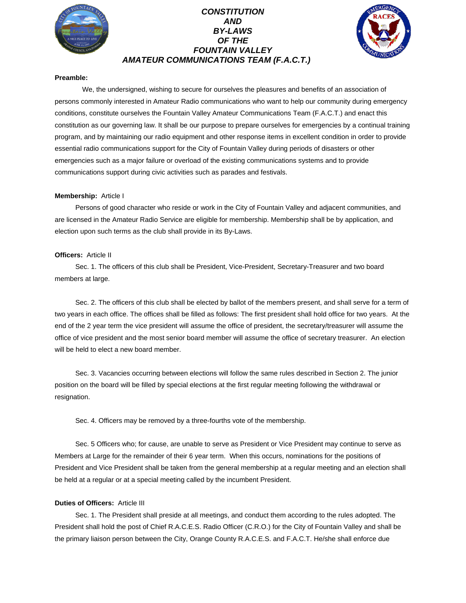

# *CONSTITUTION AND BY-LAWS OF THE FOUNTAIN VALLEY AMATEUR COMMUNICATIONS TEAM (F.A.C.T.)*



## **Preamble:**

We, the undersigned, wishing to secure for ourselves the pleasures and benefits of an association of persons commonly interested in Amateur Radio communications who want to help our community during emergency conditions, constitute ourselves the Fountain Valley Amateur Communications Team (F.A.C.T.) and enact this constitution as our governing law. It shall be our purpose to prepare ourselves for emergencies by a continual training program, and by maintaining our radio equipment and other response items in excellent condition in order to provide essential radio communications support for the City of Fountain Valley during periods of disasters or other emergencies such as a major failure or overload of the existing communications systems and to provide communications support during civic activities such as parades and festivals.

### **Membership:** Article I

Persons of good character who reside or work in the City of Fountain Valley and adjacent communities, and are licensed in the Amateur Radio Service are eligible for membership. Membership shall be by application, and election upon such terms as the club shall provide in its By-Laws.

### **Officers:** Article II

Sec. 1. The officers of this club shall be President, Vice-President, Secretary-Treasurer and two board members at large.

Sec. 2. The officers of this club shall be elected by ballot of the members present, and shall serve for a term of two years in each office. The offices shall be filled as follows: The first president shall hold office for two years. At the end of the 2 year term the vice president will assume the office of president, the secretary/treasurer will assume the office of vice president and the most senior board member will assume the office of secretary treasurer. An election will be held to elect a new board member.

Sec. 3. Vacancies occurring between elections will follow the same rules described in Section 2. The junior position on the board will be filled by special elections at the first regular meeting following the withdrawal or resignation.

Sec. 4. Officers may be removed by a three-fourths vote of the membership.

Sec. 5 Officers who; for cause, are unable to serve as President or Vice President may continue to serve as Members at Large for the remainder of their 6 year term. When this occurs, nominations for the positions of President and Vice President shall be taken from the general membership at a regular meeting and an election shall be held at a regular or at a special meeting called by the incumbent President.

# **Duties of Officers:** Article III

Sec. 1. The President shall preside at all meetings, and conduct them according to the rules adopted. The President shall hold the post of Chief R.A.C.E.S. Radio Officer (C.R.O.) for the City of Fountain Valley and shall be the primary liaison person between the City, Orange County R.A.C.E.S. and F.A.C.T. He/she shall enforce due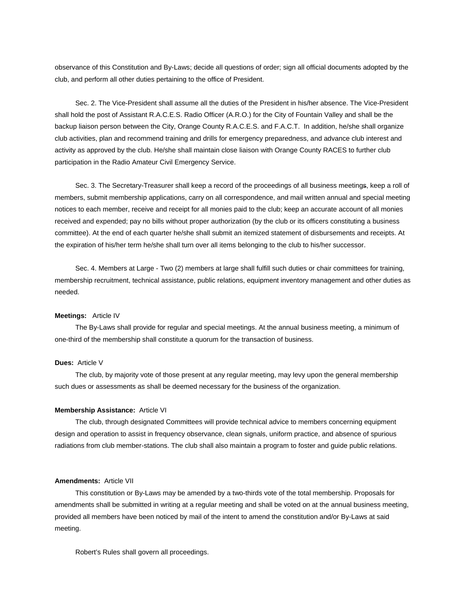observance of this Constitution and By-Laws; decide all questions of order; sign all official documents adopted by the club, and perform all other duties pertaining to the office of President.

 Sec. 2. The Vice-President shall assume all the duties of the President in his/her absence. The Vice-President shall hold the post of Assistant R.A.C.E.S. Radio Officer (A.R.O.) for the City of Fountain Valley and shall be the backup liaison person between the City, Orange County R.A.C.E.S. and F.A.C.T. In addition, he/she shall organize club activities, plan and recommend training and drills for emergency preparedness, and advance club interest and activity as approved by the club. He/she shall maintain close liaison with Orange County RACES to further club participation in the Radio Amateur Civil Emergency Service.

 Sec. 3. The Secretary-Treasurer shall keep a record of the proceedings of all business meetings, keep a roll of members, submit membership applications, carry on all correspondence, and mail written annual and special meeting notices to each member, receive and receipt for all monies paid to the club; keep an accurate account of all monies received and expended; pay no bills without proper authorization (by the club or its officers constituting a business committee). At the end of each quarter he/she shall submit an itemized statement of disbursements and receipts. At the expiration of his/her term he/she shall turn over all items belonging to the club to his/her successor.

 Sec. 4. Members at Large - Two (2) members at large shall fulfill such duties or chair committees for training, membership recruitment, technical assistance, public relations, equipment inventory management and other duties as needed.

#### **Meetings:** Article IV

 The By-Laws shall provide for regular and special meetings. At the annual business meeting, a minimum of one-third of the membership shall constitute a quorum for the transaction of business.

#### **Dues:** Article V

 The club, by majority vote of those present at any regular meeting, may levy upon the general membership such dues or assessments as shall be deemed necessary for the business of the organization.

#### **Membership Assistance:** Article VI

 The club, through designated Committees will provide technical advice to members concerning equipment design and operation to assist in frequency observance, clean signals, uniform practice, and absence of spurious radiations from club member-stations. The club shall also maintain a program to foster and guide public relations.

## **Amendments:** Article VII

 This constitution or By-Laws may be amended by a two-thirds vote of the total membership. Proposals for amendments shall be submitted in writing at a regular meeting and shall be voted on at the annual business meeting, provided all members have been noticed by mail of the intent to amend the constitution and/or By-Laws at said meeting.

Robert's Rules shall govern all proceedings.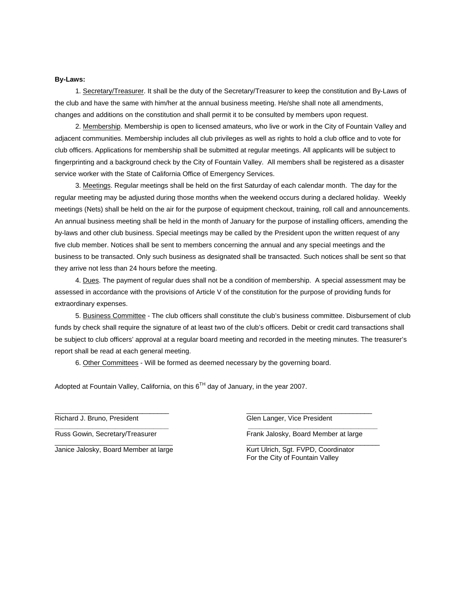# **By-Laws:**

1. Secretary/Treasurer. It shall be the duty of the Secretary/Treasurer to keep the constitution and By-Laws of the club and have the same with him/her at the annual business meeting. He/she shall note all amendments, changes and additions on the constitution and shall permit it to be consulted by members upon request.

 2. Membership. Membership is open to licensed amateurs, who live or work in the City of Fountain Valley and adjacent communities. Membership includes all club privileges as well as rights to hold a club office and to vote for club officers. Applications for membership shall be submitted at regular meetings. All applicants will be subject to fingerprinting and a background check by the City of Fountain Valley. All members shall be registered as a disaster service worker with the State of California Office of Emergency Services.

 3. Meetings. Regular meetings shall be held on the first Saturday of each calendar month. The day for the regular meeting may be adjusted during those months when the weekend occurs during a declared holiday. Weekly meetings (Nets) shall be held on the air for the purpose of equipment checkout, training, roll call and announcements. An annual business meeting shall be held in the month of January for the purpose of installing officers, amending the by-laws and other club business. Special meetings may be called by the President upon the written request of any five club member. Notices shall be sent to members concerning the annual and any special meetings and the business to be transacted. Only such business as designated shall be transacted. Such notices shall be sent so that they arrive not less than 24 hours before the meeting.

 4. Dues. The payment of regular dues shall not be a condition of membership. A special assessment may be assessed in accordance with the provisions of Article V of the constitution for the purpose of providing funds for extraordinary expenses.

 5. Business Committee - The club officers shall constitute the club's business committee. Disbursement of club funds by check shall require the signature of at least two of the club's officers. Debit or credit card transactions shall be subject to club officers' approval at a regular board meeting and recorded in the meeting minutes. The treasurer's report shall be read at each general meeting.

6. Other Committees - Will be formed as deemed necessary by the governing board.

\_\_\_\_\_\_\_\_\_\_\_\_\_\_\_\_\_\_\_\_\_\_\_\_\_\_\_\_\_\_ \_\_\_\_\_\_\_\_\_\_\_\_\_\_\_\_\_\_\_\_\_\_\_\_\_\_\_\_\_\_\_\_\_

\_\_\_\_\_\_\_\_\_\_\_\_\_\_\_\_\_\_\_\_\_\_\_\_\_\_\_\_\_\_\_ \_\_\_\_\_\_\_\_\_\_\_\_\_\_\_\_\_\_\_\_\_\_\_\_\_\_\_\_\_\_\_\_\_\_\_

 *\_\_\_\_\_\_\_\_\_\_\_\_\_\_\_\_\_\_\_\_\_\_\_\_\_\_\_\_\_\_ \_\_\_\_\_\_\_\_\_\_\_\_\_\_\_\_\_\_\_\_\_\_\_\_\_\_\_\_\_\_\_\_\_\_* 

Adopted at Fountain Valley, California, on this  $6^{TH}$  day of January, in the year 2007.

Janice Jalosky, Board Member at large Kurt Ulrich, Sgt. FVPD, Coordinator

Richard J. Bruno, President Glen Langer, Vice President Glen Langer, Vice President

Russ Gowin, Secretary/Treasurer Frank Jalosky, Board Member at large

For the City of Fountain Valley